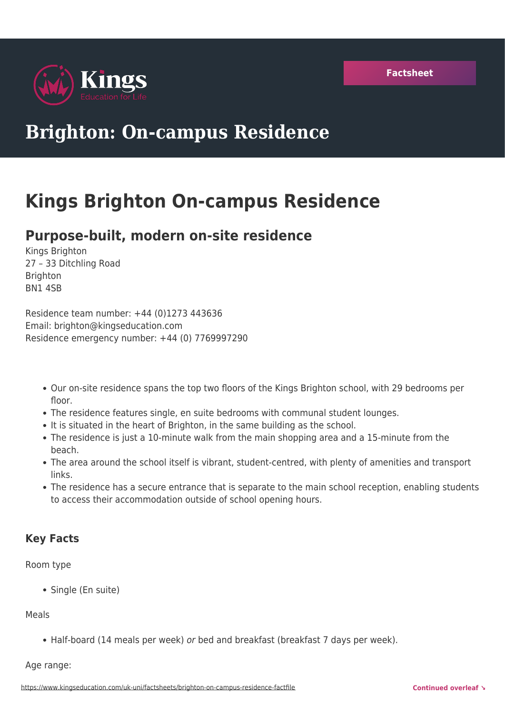

# **Brighton: On-campus Residence**

## **Kings Brighton On-campus Residence**

### **Purpose-built, modern on-site residence**

Kings Brighton 27 – 33 Ditchling Road **Brighton** BN1 4SB

Residence team number: +44 (0)1273 443636 Email: brighton@kingseducation.com Residence emergency number: +44 (0) 7769997290

- Our on-site residence spans the top two floors of the Kings Brighton school, with 29 bedrooms per floor.
- The residence features single, en suite bedrooms with communal student lounges.
- It is situated in the heart of Brighton, in the same building as the school.
- The residence is just a 10-minute walk from the main shopping area and a 15-minute from the beach.
- The area around the school itself is vibrant, student-centred, with plenty of amenities and transport links.
- The residence has a secure entrance that is separate to the main school reception, enabling students to access their accommodation outside of school opening hours.

### **Key Facts**

Room type

• Single (En suite)

#### Meals

• Half-board (14 meals per week) or bed and breakfast (breakfast 7 days per week).

#### Age range: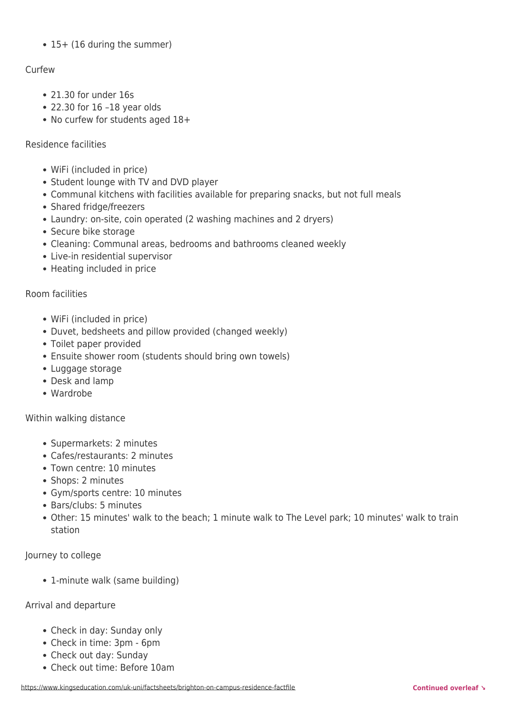• 15+ (16 during the summer)

#### Curfew

- 21.30 for under 16s
- 22.30 for 16 –18 year olds
- No curfew for students aged 18+

#### Residence facilities

- WiFi (included in price)
- Student lounge with TV and DVD player
- Communal kitchens with facilities available for preparing snacks, but not full meals
- Shared fridge/freezers
- Laundry: on-site, coin operated (2 washing machines and 2 dryers)
- Secure bike storage
- Cleaning: Communal areas, bedrooms and bathrooms cleaned weekly
- Live-in residential supervisor
- Heating included in price

#### Room facilities

- WiFi (included in price)
- Duvet, bedsheets and pillow provided (changed weekly)
- Toilet paper provided
- Ensuite shower room (students should bring own towels)
- Luggage storage
- Desk and lamp
- Wardrobe

#### Within walking distance

- Supermarkets: 2 minutes
- Cafes/restaurants: 2 minutes
- Town centre: 10 minutes
- Shops: 2 minutes
- Gym/sports centre: 10 minutes
- Bars/clubs: 5 minutes
- Other: 15 minutes' walk to the beach; 1 minute walk to The Level park; 10 minutes' walk to train station

#### Journey to college

• 1-minute walk (same building)

#### Arrival and departure

- Check in day: Sunday only
- Check in time: 3pm 6pm
- Check out day: Sunday
- Check out time: Before 10am